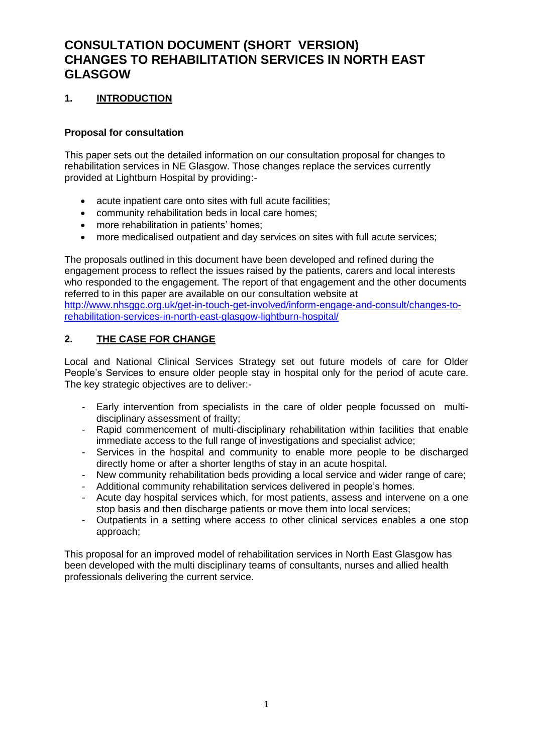# **CONSULTATION DOCUMENT (SHORT VERSION) CHANGES TO REHABILITATION SERVICES IN NORTH EAST GLASGOW**

# **1. INTRODUCTION**

### **Proposal for consultation**

This paper sets out the detailed information on our consultation proposal for changes to rehabilitation services in NE Glasgow. Those changes replace the services currently provided at Lightburn Hospital by providing:-

- acute inpatient care onto sites with full acute facilities;
- community rehabilitation beds in local care homes;
- more rehabilitation in patients' homes;
- more medicalised outpatient and day services on sites with full acute services;

The proposals outlined in this document have been developed and refined during the engagement process to reflect the issues raised by the patients, carers and local interests who responded to the engagement. The report of that engagement and the other documents referred to in this paper are available on our consultation website at [http://www.nhsggc.org.uk/get-in-touch-get-involved/inform-engage-and-consult/changes-to](http://www.nhsggc.org.uk/get-in-touch-get-involved/inform-engage-and-consult/changes-to-rehabilitation-services-in-north-east-glasgow-lightburn-hospital/)[rehabilitation-services-in-north-east-glasgow-lightburn-hospital/](http://www.nhsggc.org.uk/get-in-touch-get-involved/inform-engage-and-consult/changes-to-rehabilitation-services-in-north-east-glasgow-lightburn-hospital/)

# **2. THE CASE FOR CHANGE**

Local and National Clinical Services Strategy set out future models of care for Older People's Services to ensure older people stay in hospital only for the period of acute care. The key strategic objectives are to deliver:-

- Early intervention from specialists in the care of older people focussed on multidisciplinary assessment of frailty;
- Rapid commencement of multi-disciplinary rehabilitation within facilities that enable immediate access to the full range of investigations and specialist advice;
- Services in the hospital and community to enable more people to be discharged directly home or after a shorter lengths of stay in an acute hospital.
- New community rehabilitation beds providing a local service and wider range of care;
- Additional community rehabilitation services delivered in people's homes.
- Acute day hospital services which, for most patients, assess and intervene on a one stop basis and then discharge patients or move them into local services;
- Outpatients in a setting where access to other clinical services enables a one stop approach;

This proposal for an improved model of rehabilitation services in North East Glasgow has been developed with the multi disciplinary teams of consultants, nurses and allied health professionals delivering the current service.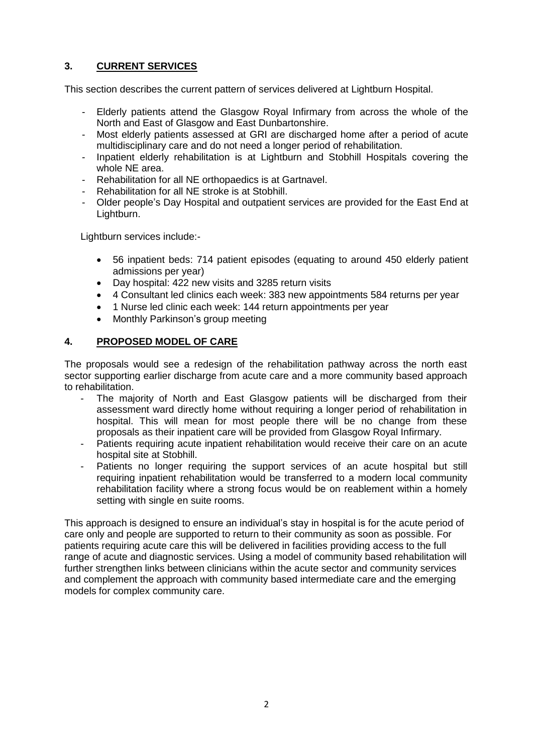# **3. CURRENT SERVICES**

This section describes the current pattern of services delivered at Lightburn Hospital.

- Elderly patients attend the Glasgow Royal Infirmary from across the whole of the North and East of Glasgow and East Dunbartonshire.
- Most elderly patients assessed at GRI are discharged home after a period of acute multidisciplinary care and do not need a longer period of rehabilitation.
- Inpatient elderly rehabilitation is at Lightburn and Stobhill Hospitals covering the whole NE area.
- Rehabilitation for all NE orthopaedics is at Gartnavel.
- Rehabilitation for all NE stroke is at Stobhill.
- Older people's Day Hospital and outpatient services are provided for the East End at Lightburn.

Lightburn services include:-

- 56 inpatient beds: 714 patient episodes (equating to around 450 elderly patient admissions per year)
- Day hospital: 422 new visits and 3285 return visits
- 4 Consultant led clinics each week: 383 new appointments 584 returns per year
- 1 Nurse led clinic each week: 144 return appointments per year
- Monthly Parkinson's group meeting

# **4. PROPOSED MODEL OF CARE**

The proposals would see a redesign of the rehabilitation pathway across the north east sector supporting earlier discharge from acute care and a more community based approach to rehabilitation.

- The majority of North and East Glasgow patients will be discharged from their assessment ward directly home without requiring a longer period of rehabilitation in hospital. This will mean for most people there will be no change from these proposals as their inpatient care will be provided from Glasgow Royal Infirmary.
- Patients requiring acute inpatient rehabilitation would receive their care on an acute hospital site at Stobhill.
- Patients no longer requiring the support services of an acute hospital but still requiring inpatient rehabilitation would be transferred to a modern local community rehabilitation facility where a strong focus would be on reablement within a homely setting with single en suite rooms.

This approach is designed to ensure an individual's stay in hospital is for the acute period of care only and people are supported to return to their community as soon as possible. For patients requiring acute care this will be delivered in facilities providing access to the full range of acute and diagnostic services. Using a model of community based rehabilitation will further strengthen links between clinicians within the acute sector and community services and complement the approach with community based intermediate care and the emerging models for complex community care.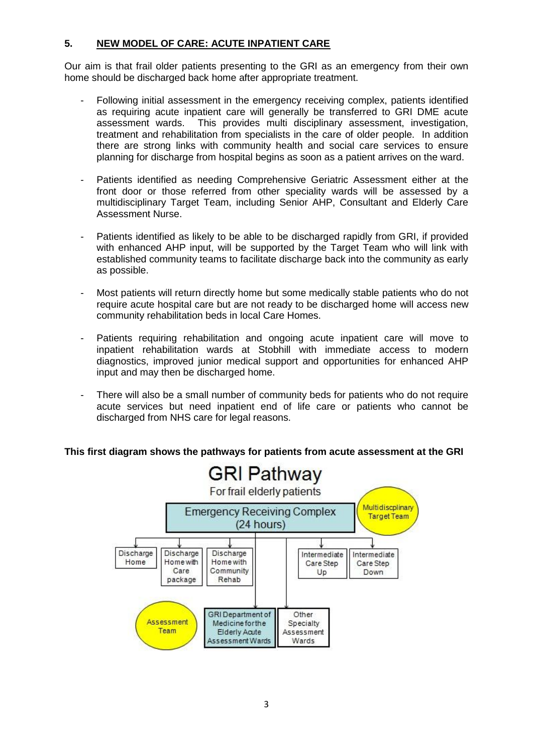# **5. NEW MODEL OF CARE: ACUTE INPATIENT CARE**

Our aim is that frail older patients presenting to the GRI as an emergency from their own home should be discharged back home after appropriate treatment.

- Following initial assessment in the emergency receiving complex, patients identified as requiring acute inpatient care will generally be transferred to GRI DME acute assessment wards. This provides multi disciplinary assessment, investigation, treatment and rehabilitation from specialists in the care of older people. In addition there are strong links with community health and social care services to ensure planning for discharge from hospital begins as soon as a patient arrives on the ward.
- Patients identified as needing Comprehensive Geriatric Assessment either at the front door or those referred from other speciality wards will be assessed by a multidisciplinary Target Team, including Senior AHP, Consultant and Elderly Care Assessment Nurse.
- Patients identified as likely to be able to be discharged rapidly from GRI, if provided with enhanced AHP input, will be supported by the Target Team who will link with established community teams to facilitate discharge back into the community as early as possible.
- Most patients will return directly home but some medically stable patients who do not require acute hospital care but are not ready to be discharged home will access new community rehabilitation beds in local Care Homes.
- Patients requiring rehabilitation and ongoing acute inpatient care will move to inpatient rehabilitation wards at Stobhill with immediate access to modern diagnostics, improved junior medical support and opportunities for enhanced AHP input and may then be discharged home.
- There will also be a small number of community beds for patients who do not require acute services but need inpatient end of life care or patients who cannot be discharged from NHS care for legal reasons.

#### **This first diagram shows the pathways for patients from acute assessment at the GRI**

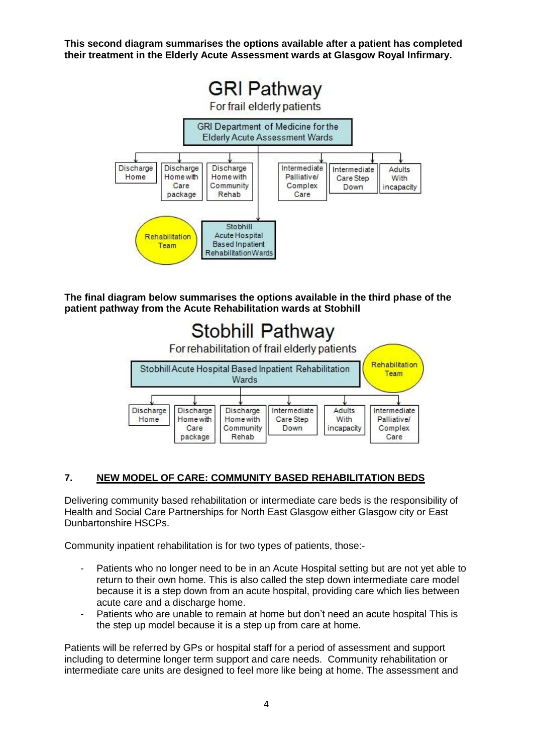**This second diagram summarises the options available after a patient has completed their treatment in the Elderly Acute Assessment wards at Glasgow Royal Infirmary.** 



**The final diagram below summarises the options available in the third phase of the patient pathway from the Acute Rehabilitation wards at Stobhill**



#### **7. NEW MODEL OF CARE: COMMUNITY BASED REHABILITATION BEDS**

Delivering community based rehabilitation or intermediate care beds is the responsibility of Health and Social Care Partnerships for North East Glasgow either Glasgow city or East Dunbartonshire HSCPs.

Community inpatient rehabilitation is for two types of patients, those:-

- Patients who no longer need to be in an Acute Hospital setting but are not yet able to return to their own home. This is also called the step down intermediate care model because it is a step down from an acute hospital, providing care which lies between acute care and a discharge home.
- Patients who are unable to remain at home but don't need an acute hospital This is the step up model because it is a step up from care at home.

Patients will be referred by GPs or hospital staff for a period of assessment and support including to determine longer term support and care needs. Community rehabilitation or intermediate care units are designed to feel more like being at home. The assessment and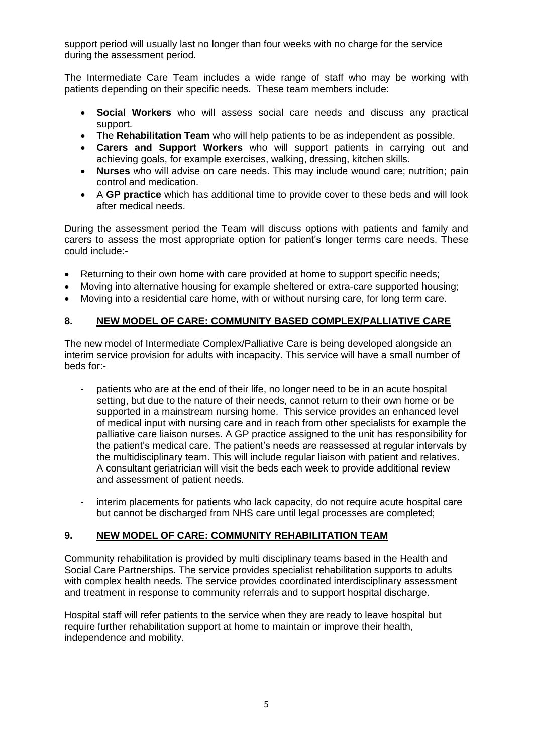support period will usually last no longer than four weeks with no charge for the service during the assessment period.

The Intermediate Care Team includes a wide range of staff who may be working with patients depending on their specific needs. These team members include:

- **Social Workers** who will assess social care needs and discuss any practical support.
- The **Rehabilitation Team** who will help patients to be as independent as possible.
- **Carers and Support Workers** who will support patients in carrying out and achieving goals, for example exercises, walking, dressing, kitchen skills.
- **Nurses** who will advise on care needs. This may include wound care; nutrition; pain control and medication.
- A **GP practice** which has additional time to provide cover to these beds and will look after medical needs.

During the assessment period the Team will discuss options with patients and family and carers to assess the most appropriate option for patient's longer terms care needs. These could include:-

- Returning to their own home with care provided at home to support specific needs;
- Moving into alternative housing for example sheltered or extra-care supported housing;
- Moving into a residential care home, with or without nursing care, for long term care.

#### **8. NEW MODEL OF CARE: COMMUNITY BASED COMPLEX/PALLIATIVE CARE**

The new model of Intermediate Complex/Palliative Care is being developed alongside an interim service provision for adults with incapacity. This service will have a small number of beds for:-

- patients who are at the end of their life, no longer need to be in an acute hospital setting, but due to the nature of their needs, cannot return to their own home or be supported in a mainstream nursing home. This service provides an enhanced level of medical input with nursing care and in reach from other specialists for example the palliative care liaison nurses. A GP practice assigned to the unit has responsibility for the patient's medical care. The patient's needs are reassessed at regular intervals by the multidisciplinary team. This will include regular liaison with patient and relatives. A consultant geriatrician will visit the beds each week to provide additional review and assessment of patient needs.
- interim placements for patients who lack capacity, do not require acute hospital care but cannot be discharged from NHS care until legal processes are completed;

#### **9. NEW MODEL OF CARE: COMMUNITY REHABILITATION TEAM**

Community rehabilitation is provided by multi disciplinary teams based in the Health and Social Care Partnerships. The service provides specialist rehabilitation supports to adults with complex health needs. The service provides coordinated interdisciplinary assessment and treatment in response to community referrals and to support hospital discharge.

Hospital staff will refer patients to the service when they are ready to leave hospital but require further rehabilitation support at home to maintain or improve their health, independence and mobility.